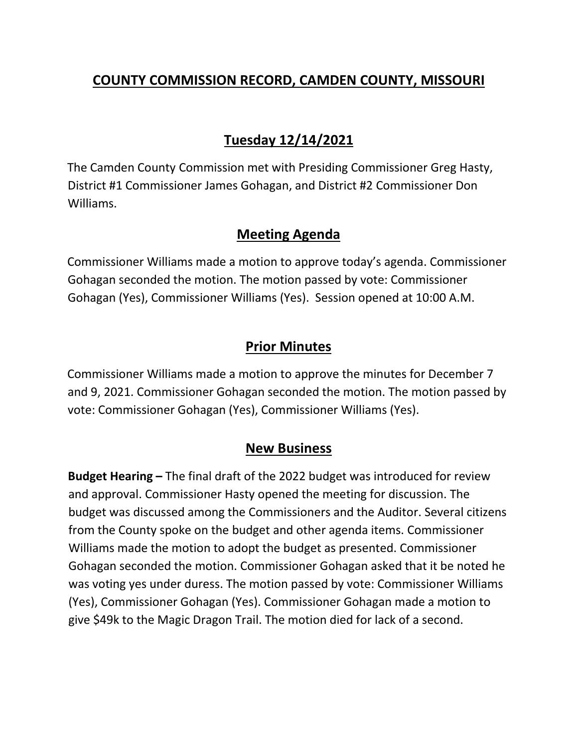# **COUNTY COMMISSION RECORD, CAMDEN COUNTY, MISSOURI**

# **Tuesday 12/14/2021**

The Camden County Commission met with Presiding Commissioner Greg Hasty, District #1 Commissioner James Gohagan, and District #2 Commissioner Don Williams.

## **Meeting Agenda**

Commissioner Williams made a motion to approve today's agenda. Commissioner Gohagan seconded the motion. The motion passed by vote: Commissioner Gohagan (Yes), Commissioner Williams (Yes). Session opened at 10:00 A.M.

# **Prior Minutes**

Commissioner Williams made a motion to approve the minutes for December 7 and 9, 2021. Commissioner Gohagan seconded the motion. The motion passed by vote: Commissioner Gohagan (Yes), Commissioner Williams (Yes).

## **New Business**

**Budget Hearing –** The final draft of the 2022 budget was introduced for review and approval. Commissioner Hasty opened the meeting for discussion. The budget was discussed among the Commissioners and the Auditor. Several citizens from the County spoke on the budget and other agenda items. Commissioner Williams made the motion to adopt the budget as presented. Commissioner Gohagan seconded the motion. Commissioner Gohagan asked that it be noted he was voting yes under duress. The motion passed by vote: Commissioner Williams (Yes), Commissioner Gohagan (Yes). Commissioner Gohagan made a motion to give \$49k to the Magic Dragon Trail. The motion died for lack of a second.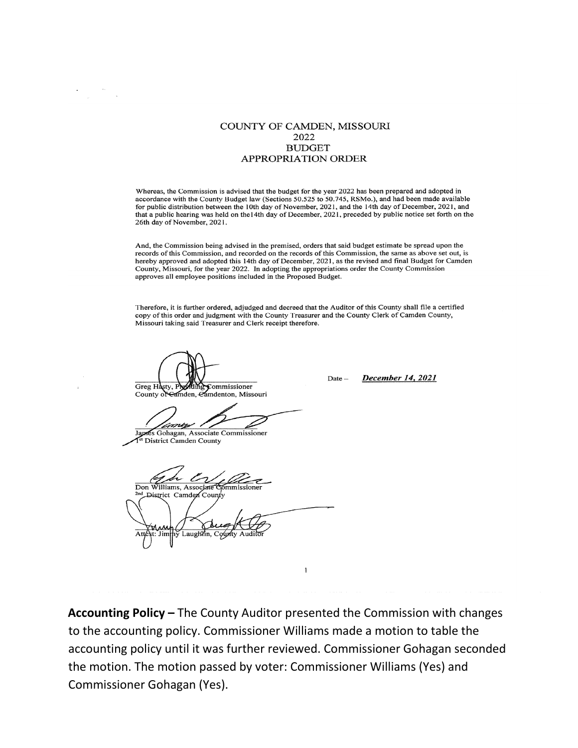### COUNTY OF CAMDEN, MISSOURI 2022 **BUDGET APPROPRIATION ORDER**

Whereas, the Commission is advised that the budget for the year 2022 has been prepared and adopted in accordance with the County Budget law (Sections 50.525 to 50.745, RSMo.), and had been made available for public distribution between the 10th day of November, 2021, and the 14th day of December, 2021, and that a public hearing was held on the 14th day of December, 2021, preceded by public notice set forth on the 26th day of November, 2021.

And, the Commission being advised in the premised, orders that said budget estimate be spread upon the records of this Commission, and recorded on the records of this Commission, the same as above set out, is hereby approved and adopted this 14th day of December, 2021, as the revised and final Budget for Camden County, Missouri, for the year 2022. In adopting the appropriations order the County Commission approves all employee positions included in the Proposed Budget.

Therefore, it is further ordered, adjudged and decreed that the Auditor of this County shall file a certified copy of this order and judgment with the County Treasurer and the County Clerk of Camden County, Missouri taking said Treasurer and Clerk receipt therefore.

commissioner Greg Hasty, mden, Camdenton, Missouri County of

James Gohagan, Associate Commissioner District Camden County

Don Williams, Associate

District Camden County

Accounting Policy - The County Auditor presented the Commission with changes to the accounting policy. Commissioner Williams made a motion to table the accounting policy until it was further reviewed. Commissioner Gohagan seconded the motion. The motion passed by voter: Commissioner Williams (Yes) and Commissioner Gohagan (Yes).

1

December 14, 2021  $Date =$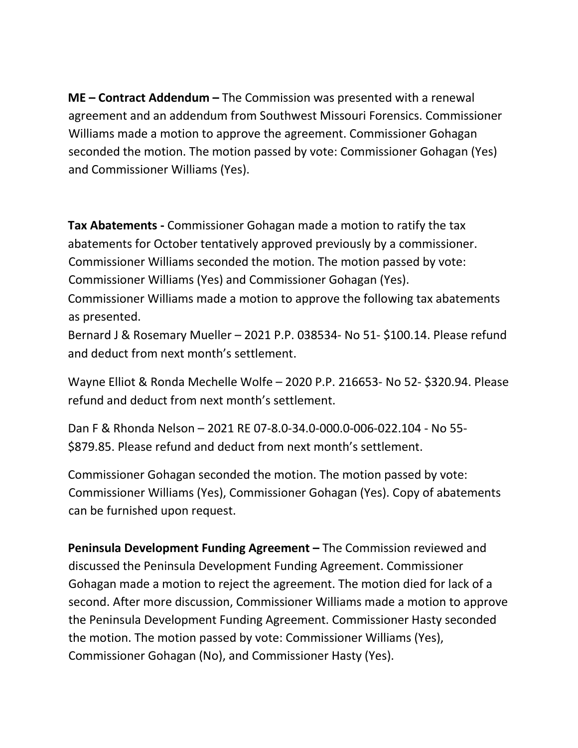**ME – Contract Addendum –** The Commission was presented with a renewal agreement and an addendum from Southwest Missouri Forensics. Commissioner Williams made a motion to approve the agreement. Commissioner Gohagan seconded the motion. The motion passed by vote: Commissioner Gohagan (Yes) and Commissioner Williams (Yes).

**Tax Abatements -** Commissioner Gohagan made a motion to ratify the tax abatements for October tentatively approved previously by a commissioner. Commissioner Williams seconded the motion. The motion passed by vote: Commissioner Williams (Yes) and Commissioner Gohagan (Yes).

Commissioner Williams made a motion to approve the following tax abatements as presented.

Bernard J & Rosemary Mueller – 2021 P.P. 038534- No 51- \$100.14. Please refund and deduct from next month's settlement.

Wayne Elliot & Ronda Mechelle Wolfe – 2020 P.P. 216653- No 52- \$320.94. Please refund and deduct from next month's settlement.

Dan F & Rhonda Nelson – 2021 RE 07-8.0-34.0-000.0-006-022.104 - No 55- \$879.85. Please refund and deduct from next month's settlement.

Commissioner Gohagan seconded the motion. The motion passed by vote: Commissioner Williams (Yes), Commissioner Gohagan (Yes). Copy of abatements can be furnished upon request.

**Peninsula Development Funding Agreement –** The Commission reviewed and discussed the Peninsula Development Funding Agreement. Commissioner Gohagan made a motion to reject the agreement. The motion died for lack of a second. After more discussion, Commissioner Williams made a motion to approve the Peninsula Development Funding Agreement. Commissioner Hasty seconded the motion. The motion passed by vote: Commissioner Williams (Yes), Commissioner Gohagan (No), and Commissioner Hasty (Yes).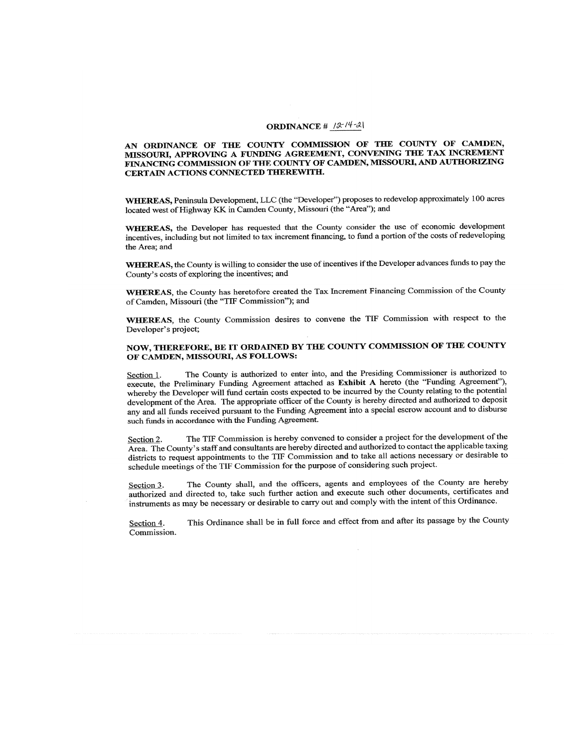#### ORDINANCE #  $| \mathcal{X} |^4$ -2|

#### AN ORDINANCE OF THE COUNTY COMMISSION OF THE COUNTY OF CAMDEN, MISSOURI, APPROVING A FUNDING AGREEMENT, CONVENING THE TAX INCREMENT FINANCING COMMISSION OF THE COUNTY OF CAMDEN, MISSOURI, AND AUTHORIZING CERTAIN ACTIONS CONNECTED THEREWITH.

WHEREAS, Peninsula Development, LLC (the "Developer") proposes to redevelop approximately 100 acres located west of Highway KK in Camden County, Missouri (the "Area"); and

WHEREAS, the Developer has requested that the County consider the use of economic development incentives, including but not limited to tax increment financing, to fund a portion of the costs of redeveloping the Area; and

WHEREAS, the County is willing to consider the use of incentives if the Developer advances funds to pay the County's costs of exploring the incentives; and

WHEREAS, the County has heretofore created the Tax Increment Financing Commission of the County of Camden, Missouri (the "TIF Commission"); and

WHEREAS, the County Commission desires to convene the TIF Commission with respect to the Developer's project;

#### NOW, THEREFORE, BE IT ORDAINED BY THE COUNTY COMMISSION OF THE COUNTY OF CAMDEN, MISSOURI, AS FOLLOWS:

The County is authorized to enter into, and the Presiding Commissioner is authorized to Section 1. execute, the Preliminary Funding Agreement attached as Exhibit A hereto (the "Funding Agreement"), whereby the Developer will fund certain costs expected to be incurred by the County relating to the potential development of the Area. The appropriate officer of the County is hereby directed and authorized to deposit any and all funds received pursuant to the Funding Agreement into a special escrow account and to disburse such funds in accordance with the Funding Agreement.

The TIF Commission is hereby convened to consider a project for the development of the Section 2. Area. The County's staff and consultants are hereby directed and authorized to contact the applicable taxing districts to request appointments to the TIF Commission and to take all actions necessary or desirable to schedule meetings of the TIF Commission for the purpose of considering such project.

The County shall, and the officers, agents and employees of the County are hereby Section 3. authorized and directed to, take such further action and execute such other documents, certificates and instruments as may be necessary or desirable to carry out and comply with the intent of this Ordinance.

This Ordinance shall be in full force and effect from and after its passage by the County Section 4. Commission.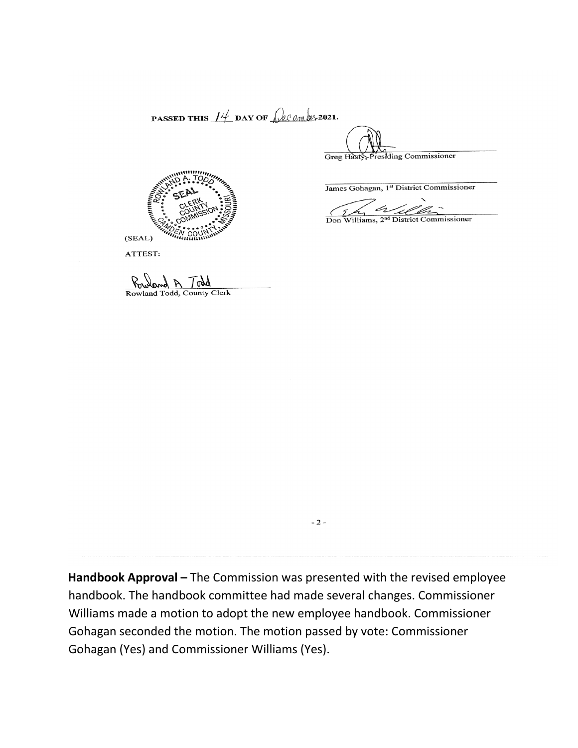PASSED THIS  $14$  DAY OF  $\omega$  on  $\omega$ , 2021.

Presiding Commissioner Greg Hasty

James Gohagan, 1st District Commissioner

Don Williams, 2<sup>nd</sup> District Commissioner

D



ATTEST:

Rowland Todd, County Clerk

Handbook Approval - The Commission was presented with the revised employee handbook. The handbook committee had made several changes. Commissioner Williams made a motion to adopt the new employee handbook. Commissioner Gohagan seconded the motion. The motion passed by vote: Commissioner Gohagan (Yes) and Commissioner Williams (Yes).

 $-2-$